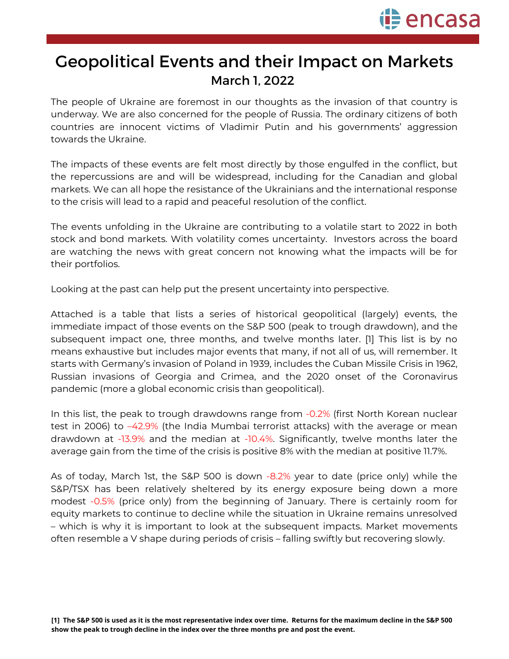

## Geopolitical Events and their Impact on Markets March 1, 2022

The people of Ukraine are foremost in our thoughts as the invasion of that country is underway. We are also concerned for the people of Russia. The ordinary citizens of both countries are innocent victims of Vladimir Putin and his governments' aggression towards the Ukraine.

The impacts of these events are felt most directly by those engulfed in the conflict, but the repercussions are and will be widespread, including for the Canadian and global markets. We can all hope the resistance of the Ukrainians and the international response to the crisis will lead to a rapid and peaceful resolution of the conflict.

The events unfolding in the Ukraine are contributing to a volatile start to 2022 in both stock and bond markets. With volatility comes uncertainty. Investors across the board are watching the news with great concern not knowing what the impacts will be for their portfolios.

Looking at the past can help put the present uncertainty into perspective.

Attached is a table that lists a series of historical geopolitical (largely) events, the immediate impact of those events on the S&P 500 (peak to trough drawdown), and the subsequent impact one, three months, and twelve months later. [1] This list is by no means exhaustive but includes major events that many, if not all of us, will remember. It starts with Germany's invasion of Poland in 1939, includes the Cuban Missile Crisis in 1962, Russian invasions of Georgia and Crimea, and the 2020 onset of the Coronavirus pandemic (more a global economic crisis than geopolitical).

In this list, the peak to trough drawdowns range from -0.2% (first North Korean nuclear test in 2006) to –42.9% (the India Mumbai terrorist attacks) with the average or mean drawdown at -13.9% and the median at -10.4%. Significantly, twelve months later the average gain from the time of the crisis is positive 8% with the median at positive 11.7%.

As of today, March 1st, the S&P 500 is down -8.2% year to date (price only) while the S&P/TSX has been relatively sheltered by its energy exposure being down a more modest -0.5% (price only) from the beginning of January. There is certainly room for equity markets to continue to decline while the situation in Ukraine remains unresolved – which is why it is important to look at the subsequent impacts. Market movements often resemble a V shape during periods of crisis – falling swiftly but recovering slowly.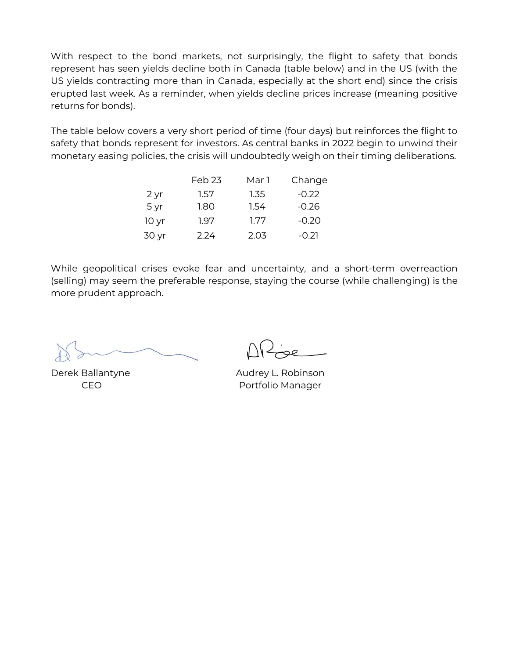With respect to the bond markets, not surprisingly, the flight to safety that bonds represent has seen yields decline both in Canada (table below) and in the US (with the US yields contracting more than in Canada, especially at the short end) since the crisis erupted last week. As a reminder, when yields decline prices increase (meaning positive returns for bonds).

The table below covers a very short period of time (four days) but reinforces the flight to safety that bonds represent for investors. As central banks in 2022 begin to unwind their monetary easing policies, the crisis will undoubtedly weigh on their timing deliberations.

|                  | Feb <sub>23</sub> | Mar 1 | Change  |
|------------------|-------------------|-------|---------|
| 2 yr             | 1.57              | 1.35  | $-0.22$ |
| 5 yr             | 1.80              | 1.54  | $-0.26$ |
| 10 <sub>yr</sub> | 1.97              | 1.77  | $-0.20$ |
| 30 yr            | 2.24              | 2.03  | $-0.21$ |

While geopolitical crises evoke fear and uncertainty, and a short-term overreaction (selling) may seem the preferable response, staying the course (while challenging) is the more prudent approach.

Derek Ballantyne CEO

Audrey L. Robinson Portfolio Manager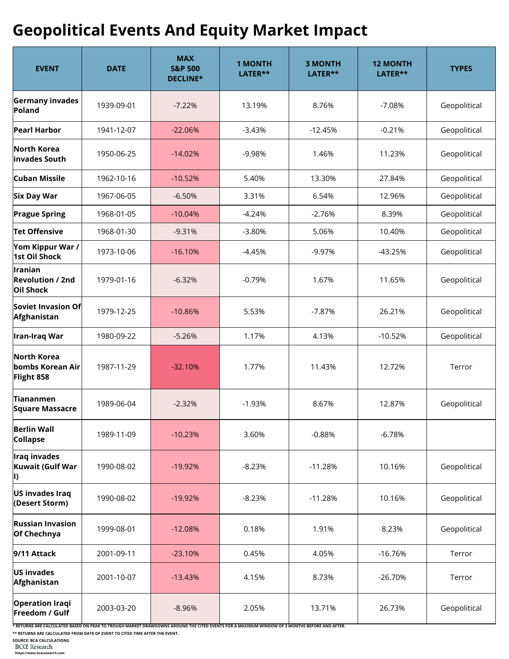## **Geopolitical Events And Equity Market Impact**

| <b>EVENT</b>                                    | <b>DATE</b> | <b>MAX</b><br><b>S&amp;P 500</b><br>DECLINE* | <b>1 MONTH</b><br>LATER** | <b>3 MONTH</b><br>LATER** | <b>12 MONTH</b><br>LATER** | <b>TYPES</b> |
|-------------------------------------------------|-------------|----------------------------------------------|---------------------------|---------------------------|----------------------------|--------------|
| Germany invades<br>Poland                       | 1939-09-01  | $-7.22%$                                     | 13.19%                    | 8.76%                     | $-7.08%$                   | Geopolitical |
| <b>Pearl Harbor</b>                             | 1941-12-07  | $-22.06%$                                    | $-3.43%$                  | $-12.45%$                 | $-0.21%$                   | Geopolitical |
| North Korea<br>invades South                    | 1950-06-25  | $-14.02%$                                    | $-9.98%$                  | 1.46%                     | 11.23%                     | Geopolitical |
| Cuban Missile                                   | 1962-10-16  | $-10.52%$                                    | 5.40%                     | 13.30%                    | 27.84%                     | Geopolitical |
| <b>Six Day War</b>                              | 1967-06-05  | $-6.50%$                                     | 3.31%                     | 6.54%                     | 12.96%                     | Geopolitical |
| <b>Prague Spring</b>                            | 1968-01-05  | $-10.04%$                                    | $-4.24%$                  | $-2.76%$                  | 8.39%                      | Geopolitical |
| Tet Offensive                                   | 1968-01-30  | $-9.31%$                                     | $-3.80%$                  | 5.06%                     | 10.40%                     | Geopolitical |
| Yom Kippur War /<br><b>1st Oil Shock</b>        | 1973-10-06  | $-16.10%$                                    | -4.45%                    | $-9.97%$                  | $-43.25%$                  | Geopolitical |
| Iranian<br><b>Revolution / 2nd</b><br>Oil Shock | 1979-01-16  | $-6.32%$                                     | $-0.79%$                  | 1.67%                     | 11.65%                     | Geopolitical |
| Soviet Invasion Of<br>Afghanistan               | 1979-12-25  | $-10.86%$                                    | 5.53%                     | $-7.87%$                  | 26.21%                     | Geopolitical |
| Iran-Iraq War                                   | 1980-09-22  | $-5.26%$                                     | 1.17%                     | 4.13%                     | $-10.52%$                  | Geopolitical |
| North Korea<br>bombs Korean Air<br>Flight 858   | 1987-11-29  | $-32.10%$                                    | 1.77%                     | 11.43%                    | 12.72%                     | Terror       |
| <b>Tiananmen</b><br>Square Massacre             | 1989-06-04  | $-2.32%$                                     | $-1.93%$                  | 8.67%                     | 12.87%                     | Geopolitical |
| <b>Berlin Wall</b><br><b>Collapse</b>           | 1989-11-09  | $-10.23%$                                    | 3.60%                     | $-0.88%$                  | $-6.78%$                   |              |
| Iraq invades<br>Kuwait (Gulf War<br>I)          | 1990-08-02  | $-19.92%$                                    | $-8.23%$                  | $-11.28%$                 | 10.16%                     | Geopolitical |
| US invades Iraq<br>(Desert Storm)               | 1990-08-02  | $-19.92%$                                    | $-8.23%$                  | $-11.28%$                 | 10.16%                     | Geopolitical |
| <b>Russian Invasion</b><br>Of Chechnya          | 1999-08-01  | $-12.08%$                                    | 0.18%                     | 1.91%                     | 8.23%                      | Geopolitical |
| 9/11 Attack                                     | 2001-09-11  | $-23.10%$                                    | 0.45%                     | 4.05%                     | $-16.76%$                  | Terror       |
| US invades<br>Afghanistan                       | 2001-10-07  | $-13.43%$                                    | 4.15%                     | 8.73%                     | $-26.70%$                  | Terror       |
| <b>Operation Iraqi</b><br>Freedom / Gulf        | 2003-03-20  | $-8.96%$                                     | 2.05%                     | 13.71%                    | 26.73%                     | Geopolitical |

**\* RETURNS ARE CALCULATED BASED ON PEAK TO TROUGH MARKET DRAWDOWNS AROUND THE CITED EVENTS FOR A MAXIMUM WINDOW OF 3 MONTHS BEFORE AND AFTER.**

**\*\* RETURNS ARE CALCULATED FROM DATE OF EVENT TO CITED TIME AFTER THE EVENT.**

**SOURCE: BCA CALCULATIONS.**

**https://www.bcaresearch.com**